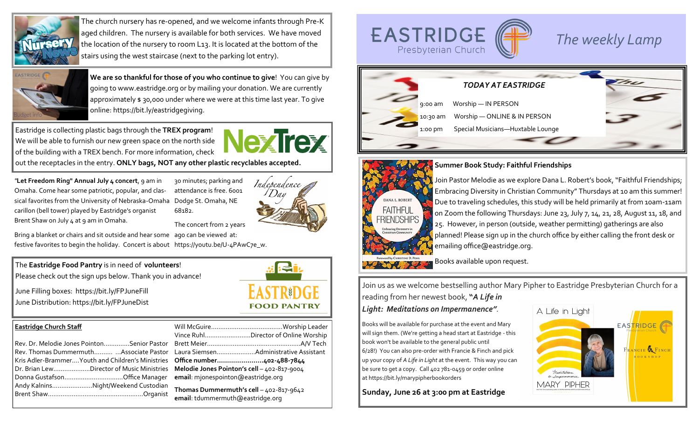

The church nursery has re-opened, and we welcome infants through Pre-K aged children. The nursery is available for both services. We have moved the location of the nursery to room L13. It is located at the bottom of the stairs using the west staircase (next to the parking lot entry).



**We are so thankful for those of you who continue to give**! You can give by going to www.eastridge.org or by mailing your donation. We are currently approximately \$30,000 under where we were at this time last year. To give online: https://bit.ly/eastridgegiving.

Eastridge is collecting plastic bags through the **TREX program!** We will be able to furnish our new green space on the north side **the collection of the collection** of the state of the state of the state of the state of th We will be able to furnish our new green space on the north side of the building with a TREX bench. For more information, check out the receptacles in the entry. **ONLY bags, NOT any other plastic recyclables accepted.** 

*"***Let Freedom Ring" Annual July 4 concert**, 9 am in Omaha. Come hear some patriotic, popular, and classical favorites from the University of Nebraska-Omaha Dodge St. Omaha, NE carillon (bell tower) played by Eastridge's organist Brent Shaw on July 4 at 9 am in Omaha.

30 minutes; parking and attendance is free. 6001 68182.



**FOOD PANTRY** 

The concert from 2 years

Bring a blanket or chairs and sit outside and hear some ago can be viewed at: festive favorites to begin the holiday. Concert is about https://youtu.be/U-4PAwC7e\_w.

# The **Eastridge Food Pantry** is in need of **volunteers!** The **East of the Case of the Case of the Case of the United States and The Eastridge Food Pantry is in need of volunteers!** Please check out the sign ups below. Thank you in advance!

June Filling boxes: https://bit.ly/FPJuneFill June Distribution: https://bit.ly/FPJuneDist

### **Eastridge Church Staff**

| Rev. Dr. Melodie Jones PointonSenior Pastor        |
|----------------------------------------------------|
| Rev. Thomas Dummermuth  Associate Pastor           |
| Kris Adler-Brammer Youth and Children's Ministries |
| Dr. Brian LewDirector of Music Ministries          |
|                                                    |
| Andy KalninsNight/Weekend Custodian                |
|                                                    |
|                                                    |

|              | Vince RuhlDirector of Online Worship        |  |
|--------------|---------------------------------------------|--|
| e.           |                                             |  |
|              | Laura SiemsenAdministrative Assistant       |  |
| E.           |                                             |  |
| $\mathbf{r}$ | Melodie Jones Pointon's cell - 402-817-9004 |  |
|              | email: mjonespointon@eastridge.org          |  |
|              | Thomas Dummermuth's call $-102-817-0612$    |  |

**Thomas Dummermuth's cell** – 402-817-9642 **email**: tdummermuth@eastridge.org





**Summer Book Study: Faithful Friendships**

Join Pastor Melodie as we explore Dana L. Robert's book, "Faithful Friendships; Embracing Diversity in Christian Community" Thursdays at 10 am this summer! Due to traveling schedules, this study will be held primarily at from 10am-11am on Zoom the following Thursdays: June 23, July 7, 14, 21, 28, August 11, 18, and 25. However, in person (outside, weather permitting) gatherings are also planned! Please sign up in the church office by either calling the front desk or emailing office@eastridge.org.

Join us as we welcome bestselling author Mary Pipher to Eastridge Presbyterian Church for a

reading from her newest book, **"***A Life in* 

## *Light: Meditations on Impermanence".*

Books will be available for purchase at the event and Mary will sign them. (We're getting a head start at Eastridge - this book won't be available to the general public until 6/28!) You can also pre-order with Francie & Finch and pick up your copy of *A Life in Light* at the event. This way you can be sure to get a copy. Call 402 781-0459 or order online at https://bit.ly/marypipherbookorders

**Sunday, June 26 at 3:00 pm at Eastridge**